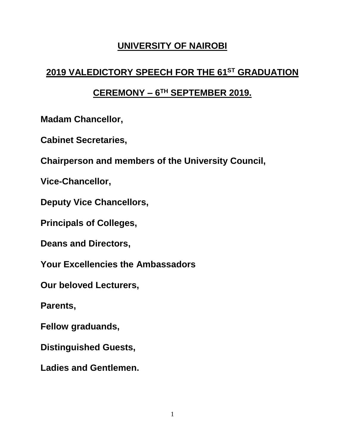### **UNIVERSITY OF NAIROBI**

# **2019 VALEDICTORY SPEECH FOR THE 61 ST GRADUATION**

# **CEREMONY – 6 TH SEPTEMBER 2019.**

**Madam Chancellor,** 

**Cabinet Secretaries,** 

**Chairperson and members of the University Council,**

**Vice-Chancellor,** 

**Deputy Vice Chancellors,** 

**Principals of Colleges,** 

**Deans and Directors,** 

**Your Excellencies the Ambassadors**

**Our beloved Lecturers,** 

**Parents,** 

**Fellow graduands,** 

**Distinguished Guests,** 

**Ladies and Gentlemen.**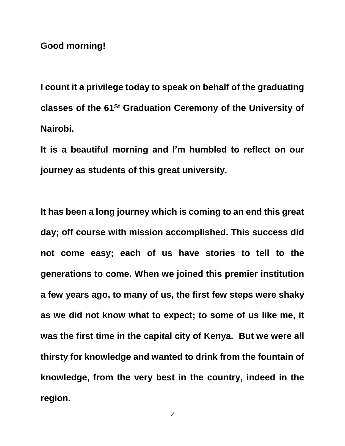**Good morning!**

**I count it a privilege today to speak on behalf of the graduating** classes of the 61<sup>St</sup> Graduation Ceremony of the University of **Nairobi.** 

**It is a beautiful morning and I'm humbled to reflect on our journey as students of this great university.** 

**It has been a long journey which is coming to an end this great day; off course with mission accomplished. This success did not come easy; each of us have stories to tell to the generations to come. When we joined this premier institution a few years ago, to many of us, the first few steps were shaky as we did not know what to expect; to some of us like me, it was the first time in the capital city of Kenya. But we were all thirsty for knowledge and wanted to drink from the fountain of knowledge, from the very best in the country, indeed in the region.** 

2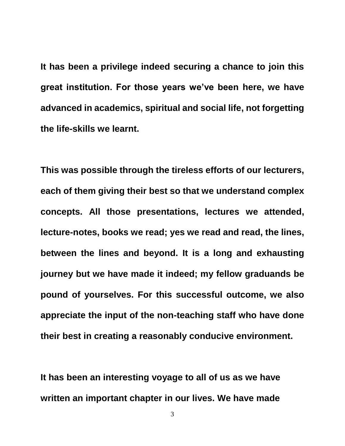**It has been a privilege indeed securing a chance to join this great institution. For those years we've been here, we have advanced in academics, spiritual and social life, not forgetting the life-skills we learnt.**

**This was possible through the tireless efforts of our lecturers, each of them giving their best so that we understand complex concepts. All those presentations, lectures we attended, lecture-notes, books we read; yes we read and read, the lines, between the lines and beyond. It is a long and exhausting journey but we have made it indeed; my fellow graduands be pound of yourselves. For this successful outcome, we also appreciate the input of the non-teaching staff who have done their best in creating a reasonably conducive environment.**

**It has been an interesting voyage to all of us as we have written an important chapter in our lives. We have made**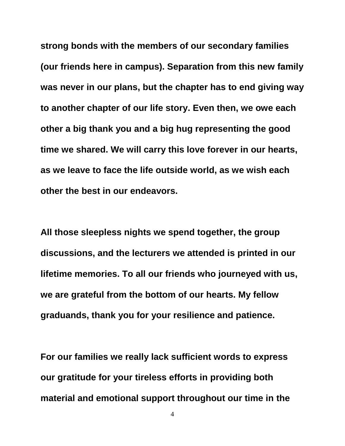**strong bonds with the members of our secondary families (our friends here in campus). Separation from this new family was never in our plans, but the chapter has to end giving way to another chapter of our life story. Even then, we owe each other a big thank you and a big hug representing the good time we shared. We will carry this love forever in our hearts, as we leave to face the life outside world, as we wish each other the best in our endeavors.**

**All those sleepless nights we spend together, the group discussions, and the lecturers we attended is printed in our lifetime memories. To all our friends who journeyed with us, we are grateful from the bottom of our hearts. My fellow graduands, thank you for your resilience and patience.**

**For our families we really lack sufficient words to express our gratitude for your tireless efforts in providing both material and emotional support throughout our time in the**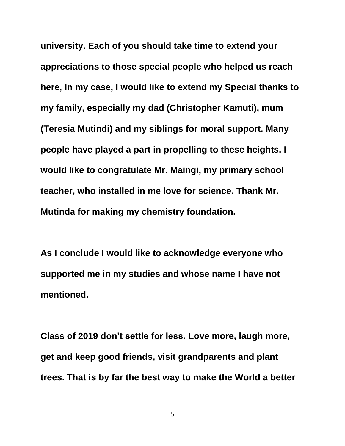**university. Each of you should take time to extend your appreciations to those special people who helped us reach here, In my case, I would like to extend my Special thanks to my family, especially my dad (Christopher Kamuti), mum (Teresia Mutindi) and my siblings for moral support. Many people have played a part in propelling to these heights. I would like to congratulate Mr. Maingi, my primary school teacher, who installed in me love for science. Thank Mr. Mutinda for making my chemistry foundation.** 

**As I conclude I would like to acknowledge everyone who supported me in my studies and whose name I have not mentioned.**

**Class of 2019 don't settle for less. Love more, laugh more, get and keep good friends, visit grandparents and plant trees. That is by far the best way to make the World a better** 

5